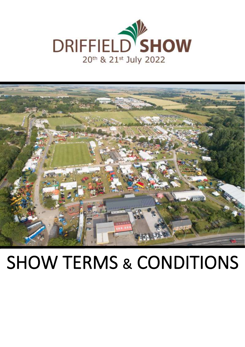



# SHOW TERMS & CONDITIONS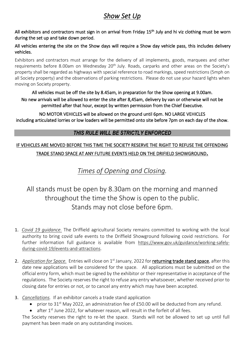# *Show Set Up*

All exhibitors and contractors must sign in on arrival from Friday 15<sup>th</sup> July and hi viz clothing must be worn during the set up and take down period.

#### All vehicles entering the site on the Show days will require a Show day vehicle pass, this includes delivery vehicles.

Exhibitors and contractors must arrange for the delivery of all implements, goods, marquees and other requirements before 8.00am on Wednesday 20<sup>th</sup> July. Roads, carparks and other areas on the Society's property shall be regarded as highways with special reference to road markings, speed restrictions (5mph on all Society property) and the observations of parking restrictions. Please do not use your hazard lights when moving on Society property.

#### All vehicles must be off the site by 8.45am, in preparation for the Show opening at 9.00am. No new arrivals will be allowed to enter the site after 8,45am, delivery by van or otherwise will not be permitted after that hour, except by written permission from the Chief Executive.

NO MOTOR VEHICLES will be allowed on the ground until 6pm. NO LARGE VEHICLES including articulated lorries or low loaders will be permitted onto site before 7pm on each day of the show.

## *THIS RULE WILL BE STRICTLY ENFORCED*

## IF VEHICLES ARE MOVED BEFORE THIS TIME THE SOCIETY RESERVE THE RIGHT TO REFUSE THE OFFENDING TRADE STAND SPACE AT ANY FUTURE EVENTS HELD ON THE DRIFIELD SHOWGROUND.

*Times of Opening and Closing.*

## All stands must be open by 8.30am on the morning and manned throughout the time the Show is open to the public. Stands may not close before 6pm.

- 1. *Covid 19 guidance.* The Driffield agricultural Society remains committed to working with the local authority to bring covid safe events to the Driffield Showground following covid restrictions. For further information full guidance is available from [https://www.gov.uk/guidance/working-safely](https://www.gov.uk/guidance/working-safely-during-covid-19/events-and-attractions)[during-covid-19/events-and-attractions.](https://www.gov.uk/guidance/working-safely-during-covid-19/events-and-attractions)
- 2. Application for Space. Entries will close on 1<sup>st</sup> January, 2022 for returning trade stand space, after this date new applications will be considered for the space. All applications must be submitted on the official entry form, which must be signed by the exhibitor or their representative in acceptance of the regulations. The Society reserves the right to refuse any entry whatsoever, whether received prior to closing date for entries or not, or to cancel any entry which may have been accepted.
- 3. *Cancellations.* If an exhibitor cancels a trade stand application
	- prior to 31<sup>st</sup> May 2022, an administration fee of £50.00 will be deducted from any refund.
	- after  $1<sup>st</sup>$  June 2022, for whatever reason, will result in the forfeit of all fees.

The Society reserves the right to re-let the space. Stands will not be allowed to set up until full payment has been made on any outstanding invoices.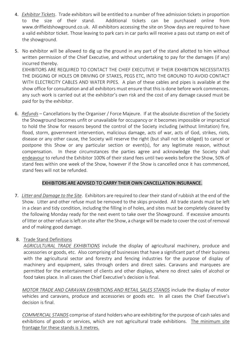- 4. *Exhibitor Tickets*. Trade exhibitors will be entitled to a number of free admission tickets in proportion to the size of their stand. Additional tickets can be purchased online from www.driffieldshowground.co.uk. All exhibitors accessing the site on Show days are required to have a valid exhibitor ticket. Those leaving to park cars in car parks will receive a pass out stamp on exit of the showground.
- 5. No exhibitor will be allowed to dig up the ground in any part of the stand allotted to him without written permission of the Chief Executive, and without undertaking to pay for the damages (if any) incurred thereby. EXHIBITORS ARE REQUIRED TO CONTACT THE CHIEF EXECUTIVE IF THEIR EXHIBITION NECESSITATES THE DIGGING OF HOLES OR DRIVING OF STAKES, PEGS ETC, INTO THE GROUND TO AVOID CONTACT WITH ELECTRICITY CABLES AND WATER PIPES. A plan of these cables and pipes is available at the show office for consultation and all exhibitors must ensure that this is done before work commences. any such work is carried out at the exhibitor's own risk and the cost of any damage caused must be
- 6. *Refunds* Cancellations by the Organiser / Force Majeure. If at the absolute discretion of the Society the Showground becomes unfit or unavailable for occupancy or it becomes impossible or impractical to hold the Show for reasons beyond the control of the Society including (without limitation) fire, flood, storm, government intervention, malicious damage, acts of war, acts of God, strikes, riots, disease or any other cause, the Society will reserve the right (but shall not be obliged) to cancel or postpone this Show or any particular section or event(s), for any legitimate reason, without compensation. In these circumstances the parties agree and acknowledge the Society shall endeavour to refund the Exhibitor 100% of their stand fees until two weeks before the Show, 50% of stand fees within one week of the Show, however if the Show is cancelled once it has commenced, stand fees will not be refunded.

#### EXHIBITORS ARE ADVISED TO CARRY THEIR OWN CANCELLATION INSURANCE.

7. *Litter and Damage to the Site*. Exhibitors are required to clear their stand of rubbish at the end of the Show. Litter and other refuse must be removed to the skips provided. All trade stands must be left in a clean and tidy condition, including the filling in of holes, and sites must be completely cleared by the following Monday ready for the next event to take over the Showground. If excessive amounts of litter or other refuse is left on site after the Show, a charge will be made to cover the cost of removal and of making good damage.

#### 8. Trade Stand Definitions

paid for by the exhibitor.

*AGRICULTURAL TRADE EXHIBITIONS* include the display of agricultural machinery, produce and accessories or goods, etc. Also comprising of businesses that have a significant part of their business with the agricultural sector and forestry and fencing industries for the purpose of display of machinery and equipment, sales through orders and direct sales. Caravans and marquees are permitted for the entertainment of clients and other displays, where no direct sales of alcohol or food takes place. In all cases the Chief Executive's decision is final.

*MOTOR TRADE AND CARAVAN EXHIBITIONS AND RETAIL SALES STANDS* include the display of motor vehicles and caravans, produce and accessories or goods etc. In all cases the Chief Executive's decision is final.

*COMMERCIAL STANDS* comprise of stand holders who are exhibiting for the purpose of cash sales and exhibitions of goods or services, which are not agricultural trade exhibitions. The minimum site frontage for these stands is 3 metres.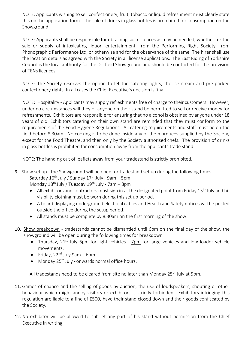NOTE: Applicants wishing to sell confectionery, fruit, tobacco or liquid refreshment must clearly state this on the application form. The sale of drinks in glass bottles is prohibited for consumption on the Showground.

NOTE: Applicants shall be responsible for obtaining such licences as may be needed, whether for the sale or supply of intoxicating liquor, entertainment, from the Performing Right Society, from Phonographic Performance Ltd, or otherwise and for the observance of the same. The hirer shall use the location details as agreed with the Society in all license applications. The East Riding of Yorkshire Council is the local authority for the Driffield Showground and should be contacted for the provision of TENs licences.

NOTE: The Society reserves the option to let the catering rights, the ice cream and pre-packed confectionery rights. In all cases the Chief Executive's decision is final.

NOTE: Hospitality - Applicants may supply refreshments free of charge to their customers. However, under no circumstances will they or anyone on their stand be permitted to sell or receive money for refreshments. Exhibitors are responsible for ensuring that no alcohol is obtained by anyone under 18 years of old. Exhibitors catering on their own stand are reminded that they must conform to the requirements of the Food Hygiene Regulations. All catering requirements and staff must be on the field before 8.30am. No cooking is to be done inside any of the marquees supplied by the Society, except for the Food Theatre, and then only by the Society authorised chefs. The provision of drinks in glass bottles is prohibited for consumption away from the applicants trade stand.

NOTE: The handing out of leaflets away from your tradestand is strictly prohibited.

- 9. Show set up the Showground will be open for tradestand set up during the following times Saturday 16<sup>th</sup> July / Sunday 17<sup>th</sup> July - 9am – 5pm Monday 18<sup>th</sup> July / Tuesday 19<sup>th</sup> July - 7am – 8pm
	- All exhibitors and contractors must sign in at the designated point from Friday 15<sup>th</sup> July and hivisibility clothing must be worn during this set up period.
	- A board displaying underground electrical cables and Health and Safety notices will be posted outside the office during the setup period.
	- All stands must be complete by 8.30am on the first morning of the show.
- 10. Show breakdown tradestands cannot be dismantled until 6pm on the final day of the show, the showground will be open during the following times for breakdown
	- Thursday, 21<sup>st</sup> July 6pm for light vehicles 7pm for large vehicles and low loader vehicle movements.
	- Friday, 22<sup>nd</sup> July 9am 6pm
	- Monday 25<sup>th</sup> July onwards normal office hours.

All tradestands need to be cleared from site no later than Monday 25<sup>th</sup> July at 5pm.

- 11. Games of chance and the selling of goods by auction, the use of loudspeakers, shouting or other behaviour which might annoy visitors or exhibitors is strictly forbidden. Exhibitors infringing this regulation are liable to a fine of £500, have their stand closed down and their goods confiscated by the Society.
- 12. No exhibitor will be allowed to sub-let any part of his stand without permission from the Chief Executive in writing.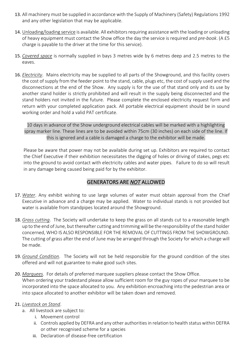- 13. All machinery must be supplied in accordance with the Supply of Machinery (Safety) Regulations 1992 and any other legislation that may be applicable.
- 14. Unloading/loading service is available. All exhibitors requiring assistance with the loading or unloading of heavy equipment must contact the Show office the day the service is required and *pre-book*. (A £5 charge is payable to the driver at the time for this service).
- 15. *Covered space* is normally supplied in bays 3 metres wide by 6 metres deep and 2.5 metres to the eaves.
- 16. *Electricity*. Mains electricity may be supplied to all parts of the Showground, and this facility covers the cost of supply from the feeder point to the stand, cable, plugs etc, the cost of supply used and the disconnections at the end of the Show. Any supply is for the use of that stand only and its use by another stand holder is strictly prohibited and will result in the supply being disconnected and the stand holders not invited in the future. Please complete the enclosed electricity request form and return with your completed application pack. All portable electrical equipment should be in sound working order and hold a valid PAT certificate.

10 days in advance of the Show underground electrical cables will be marked with a highlighting spray marker line. These lines are to be avoided within 75cm (30 inches) on each side of the line. If this is ignored and a cable is damaged a charge to the exhibitor will be made.

Please be aware that power may not be available during set up. Exhibitors are required to contact the Chief Executive if their exhibition necessitates the digging of holes or driving of stakes, pegs etc into the ground to avoid contact with electricity cables and water pipes. Failure to do so will result in any damage being caused being paid for by the exhibitor.

### GENERATORS ARE *NOT* ALLOWED

- 17. *Water*. Any exhibit wishing to use large volumes of water must obtain approval from the Chief Executive in advance and a charge may be applied. Water to individual stands is not provided but water is available from standpipes located around the Showground.
- 18. *Grass cutting*. The Society will undertake to keep the grass on all stands cut to a reasonable length up to the end of June, but thereafter cutting and trimming will be the responsibility of the stand holder concerned, WHO IS ALSO RESPONSIBLE FOR THE REMOVAL OF CUTTINGS FROM THE SHOWGROUND. The cutting of grass after the end of June may be arranged through the Society for which a charge will be made.
- 19. *Ground Condition*. The Society will not be held responsible for the ground condition of the sites offered and will not guarantee to make good such sites.
- 20. *Marquees*. For details of preferred marquee suppliers please contact the Show Office. When ordering your tradestand please allow sufficient room for the guy ropes of your marquee to be incorporated into the space allocated to you. Any exhibition encroaching into the pedestrian area or into space allocated to another exhibitor will be taken down and removed.

#### 21. *Livestock on Stand*.

- a. All livestock are subject to:
	- i. Movement control
	- ii. Controls applied by DEFRA and any other authorities in relation to health status within DEFRA or other recognised scheme for a species
	- iii. Declaration of disease-free certification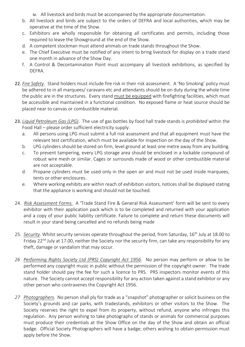iv. All livestock and birds must be accompanied by the appropriate documentation.

- b. All livestock and birds are subject to the orders of DEFRA and local authorities, which may be operative at the time of the Show.
- c. Exhibitors are wholly responsible for obtaining all certificates and permits, including those required to leave the Showground at the end of the Show.
- d. A competent stockman must attend animals on trade stands throughout the Show.
- e. The Chief Executive must be notified of any intent to bring livestock for display on a trade stand one month in advance of the Show Day.
- f. A Control & Decontamination Point must accompany all livestock exhibitions, as specified by DEFRA.
- 22. *Fire Safety*. Stand holders must include fire risk in their risk assessment. A 'No Smoking' policy must be adhered to in all marquees/ caravans etc and attendants should be on duty during the whole time the public are in the structures. Every stand must be equipped with firefighting facilities, which must be accessible and maintained in a functional condition. No exposed flame or heat source should be placed near to canvas or combustible material.
- 23. *Liquid Petroleum Gas (LPG)*. The use of gas bottles by food hall trade stands is *prohibited* within the Food Hall – please order sufficient electricity supply.
	- a. All persons using LPG must submit a full risk assessment and that all equipment must have the relevant test certification, which must be available for inspection on the day of the Show.
	- b. LPG cylinders should be stored on firm, level ground at least one metre away from any building.
	- c. To prevent tampering, every LPG storage area should be enclosed in a lockable compound of robust wire mesh or similar. Cages or surrounds made of wood or other combustible material are not acceptable.
	- d. Propane cylinders must be used only in the open air and must not be used inside marquees, tents or other enclosures.
	- e. Where working exhibits are within reach of exhibition visitors, notices shall be displayed stating that the appliance is working and should not be touched.
- 24. *Risk Assessment Forms.* A 'Trade Stand Fire & General Risk Assessment' form will be sent to every exhibitor with their application pack which is to be completed and returned with your application and a copy of your public liability certificate. Failure to complete and return these documents will result in your stand being cancelled and no refunds being made
- 25. *Security*. Whilst security services operate throughout the period, from Saturday, 16th July at 18.00 to Friday 22<sup>nd</sup> July at 17.00, neither the Society nor the security firm, can take any responsibility for any theft, damage or vandalism that may occur.
- *26 Performing Rights Society Ltd (PRS) Copyright Act 1956*. No person may perform or allow to be performed any copyright music in public without the permission of the copyright owner. The trade stand holder should pay the fee for such a licence to PRS. PRS inspectors monitor events of this nature. The Society cannot accept responsibility for any action taken against a stand exhibitor or any other person who contravenes the Copyright Act 1956.
- *27 Photographers*. No person shall ply for trade as a "snapshot" photographer or solicit business on the Society's grounds and car parks, with tradestands, exhibitors or other visitors to the Show. The Society reserves the right to expel from its property, without refund, anyone who infringes this regulation. Any person wishing to take photographs of stands or animals for commercial purposes must produce their credentials at the Show Office on the day of the Show and obtain an official badge. Official Society Photographers will have a badge; others wishing to obtain permission must apply before the Show.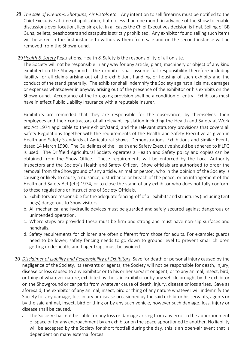*28 The sale of Firearms, Shotguns, Air Pistols etc*. Any intention to sell firearms must be notified to the Chief Executive at time of application, but no less than one month in advance of the Show to enable discussions over location, licensing etc. In all cases the Chief Executives decision is final. Selling of BB Guns, pellets, peashooters and catapults is strictly prohibited. Any exhibitor found selling such items will be asked in the first instance to withdraw them from sale and on the second instance will be removed from the Showground.

#### 29*Health & Safety* Regulations. Health & Safety is the responsibility of all on site.

The Society will not be responsible in any way for any article, plant, machinery or object of any kind exhibited on the Showground. The exhibitor shall assume full responsibility therefore including liability for all claims arising out of the exhibition, handling or housing of such exhibits and the conduct of the stand generally. The exhibitor shall indemnify the Society against all claims, damages or expenses whatsoever in anyway arising out of the presence of the exhibitor or his exhibits on the Showground. Acceptance of the foregoing provision shall be a condition of entry. Exhibitors must have in effect Public Liability Insurance with a reputable insurer.

Exhibitors are reminded that they are responsible for the observance, by themselves, their employees and their contractors of all relevant legislation including the Health and Safety at Work etc Act 1974 applicable to their exhibit/stand, and the relevant statutory provisions that covers all Safety Regulations together with the requirements of the Health and Safety Executive as given in Health and Safety Standards at Agricultural Shows, Demonstrations, Exhibitions and Similar Events dated 14 March 1990. The Guidelines of the Health and Safety Executive should be adhered to if LPG is used. The Driffield Agricultural Society operates a Health and Safety policy and copies can be obtained from the Show Office. These requirements will be enforced by the Local Authority Inspectors and the Society's Health and Safety Officer. Show officials are authorised to order the removal from the Showground of any article, animal or person, who in the opinion of the Society is causing or likely to cause, a nuisance, disturbance or breach of the peace, or an infringement of the Health and Safety Act (etc) 1974, or to close the stand of any exhibitor who does not fully conform to these regulations or instructions of Society Officials.

- a. Exhibitors are responsible for the adequate fencing-off of all exhibits and structures (including tent pegs) dangerous to Show visitors.
- b. All mechanical and hydraulic devices must be guarded and safely secured against dangerous or unintended operation.
- c. Where steps are provided these must be firm and strong and must have non-slip surfaces and handrails.
- d. Safety requirements for children are often different from those for adults. For example; guards need to be lower, safety fencing needs to go down to ground level to prevent small children getting underneath, and finger traps must be avoided.
- 30 *Disclaimer of Liability and Responsibility of Exhibitors*. Save for death or personal injury caused by the negligence of the Society, its servants or agents, the Society will not be responsible for death, injury, disease or loss caused to any exhibitor or to his or her servant or agent, or to any animal, insect, bird, or thing of whatever nature, exhibited by the said exhibitor or by any vehicle brought by the exhibitor on the Showground or car parks from whatever cause of death, injury, disease or loss arises. Save as aforesaid, the exhibitor of any animal, insect, bird or thing of any nature whatever will indemnify the Society for any damage, loss injury or disease occasioned by the said exhibitor his servants, agents or by the said animal, insect, bird or thing or by any such vehicle, however such damage, loss, injury or disease shall be caused.
	- a. The Society shall not be liable for any loss or damage arising from any error in the apportionment of space or for any encroachment by an exhibitor on the space apportioned to another. No liability will be accepted by the Society for short footfall during the day, this is an open-air event that is dependent on many external forces.